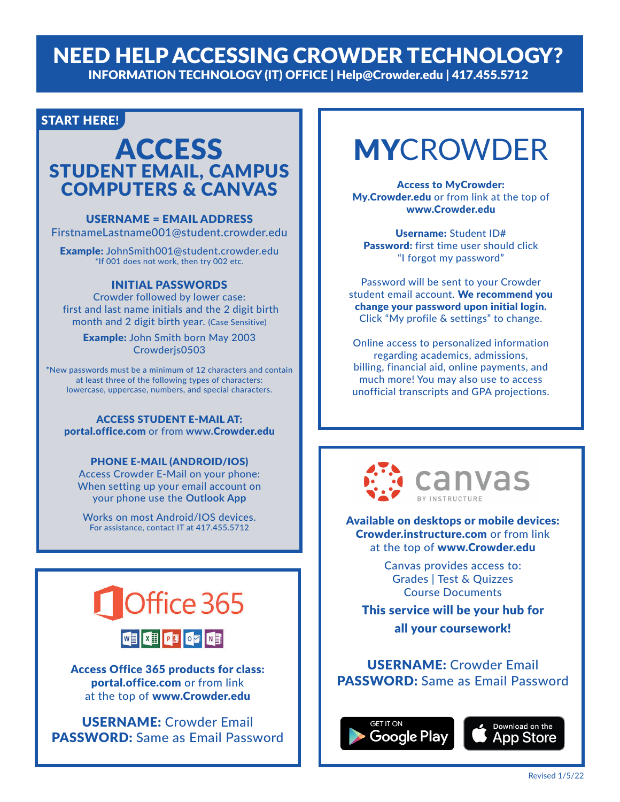### NEED HELP ACCESSING CROWDER TECHNOLOGY? INFORMATION TECHNOLOGY (IT) OFFICE | Help@Crowder.edu | 417.455.5712

#### START HERE!

## **ACCESS** STUDENT EMAIL, CAMPUS COMPUTERS & CANVAS

#### USERNAME = EMAIL ADDRESS

FirstnameLastname001@student.crowder.edu

Example: JohnSmith001@student.crowder.edu \*If 001 does not work, then try 002 etc.

#### INITIAL PASSWORDS

Crowder followed by lower case: first and last name initials and the 2 digit birth month and 2 digit birth year. (Case Sensitive)

Example: John Smith born May 2003 Crowderjs0503

**\***New passwords must be a minimum of 12 characters and contain at least three of the following types of characters: lowercase, uppercase, numbers, and special characters.

#### ACCESS STUDENT E-MAIL AT:

portal.office.com or from **www.**Crowder.edu

#### PHONE E-MAIL (ANDROID/IOS)

Access Crowder E-Mail on your phone: When setting up your email account on your phone use the **Outlook App**

Works on most Android/IOS devices. For assistance, contact IT at 417.455.5712



Access Office 365 products for class: portal.office.com or from link at the top of www.Crowder.edu

USERNAME: Crowder Email PASSWORD: Same as Email Password

# MYCROWDER

Access to MyCrowder: My.Crowder.edu or from link at the top of www.Crowder.edu

Username: Student ID# Password: first time user should click "I forgot my password"

Password will be sent to your Crowder student email account. We recommend you change your password upon initial login. Click "My profile & settings" to change.

Online access to personalized information regarding academics, admissions, billing, financial aid, online payments, and much more! You may also use to access unofficial transcripts and GPA projections.



Available on desktops or mobile devices: Crowder.instructure.com or from link at the top of www.Crowder.edu

> Canvas provides access to: Grades | Test & Quizzes Course Documents

This service will be your hub for all your coursework!

USERNAME: Crowder Email PASSWORD: Same as Email Password